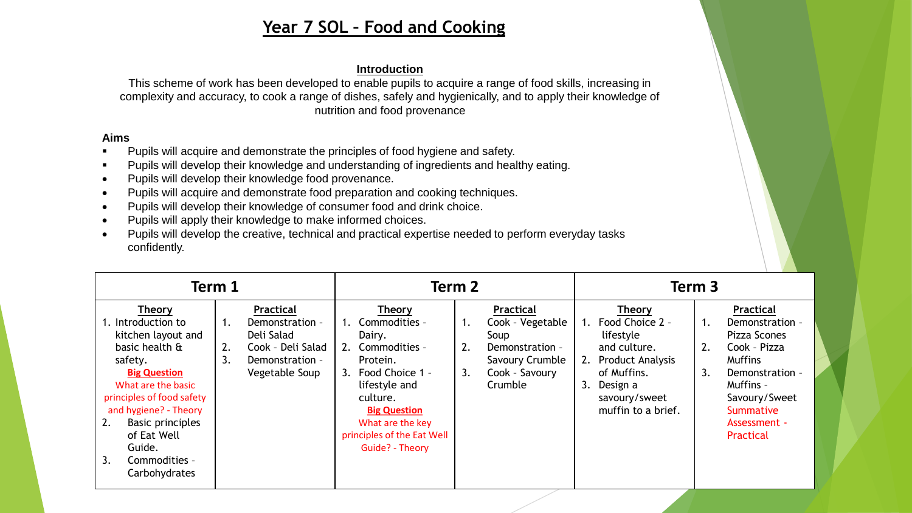# **Year 7 SOL – Food and Cooking**

## **Introduction**

This scheme of work has been developed to enable pupils to acquire a range of food skills, increasing in complexity and accuracy, to cook a range of dishes, safely and hygienically, and to apply their knowledge of nutrition and food provenance

### **Aims**

- **•** Pupils will acquire and demonstrate the principles of food hygiene and safety.
- Pupils will develop their knowledge and understanding of ingredients and healthy eating.
- Pupils will develop their knowledge food provenance.
- Pupils will acquire and demonstrate food preparation and cooking techniques.
- Pupils will develop their knowledge of consumer food and drink choice.
- Pupils will apply their knowledge to make informed choices.
- Pupils will develop the creative, technical and practical expertise needed to perform everyday tasks confidently.

| Term 1                                                                                                                                                                                                                                                                                      |                |                                                                                                             | Term 2 |                                                                                                                                                                                                                         |                |                                                                                                          | Term 3 |                                                                                                                                                           |                |                                                                                                                                                                           |  |
|---------------------------------------------------------------------------------------------------------------------------------------------------------------------------------------------------------------------------------------------------------------------------------------------|----------------|-------------------------------------------------------------------------------------------------------------|--------|-------------------------------------------------------------------------------------------------------------------------------------------------------------------------------------------------------------------------|----------------|----------------------------------------------------------------------------------------------------------|--------|-----------------------------------------------------------------------------------------------------------------------------------------------------------|----------------|---------------------------------------------------------------------------------------------------------------------------------------------------------------------------|--|
| <b>Theory</b><br>1. Introduction to<br>kitchen layout and<br>basic health &<br>safety.<br><b>Big Question</b><br>What are the basic<br>principles of food safety<br>and hygiene? - Theory<br>2.<br><b>Basic principles</b><br>of Eat Well<br>Guide.<br>3.<br>Commodities -<br>Carbohydrates | 1.<br>2.<br>3. | <b>Practical</b><br>Demonstration -<br>Deli Salad<br>Cook - Deli Salad<br>Demonstration -<br>Vegetable Soup |        | <b>Theory</b><br>Commodities -<br>Dairy.<br>2. Commodities -<br>Protein.<br>3. Food Choice 1 -<br>lifestyle and<br>culture.<br><b>Big Question</b><br>What are the key<br>principles of the Eat Well<br>Guide? - Theory | 1.<br>2.<br>3. | Practical<br>Cook - Vegetable<br>Soup<br>Demonstration -<br>Savoury Crumble<br>Cook - Savoury<br>Crumble | 3.     | <b>Theory</b><br>1. Food Choice 2 -<br>lifestyle<br>and culture.<br>2. Product Analysis<br>of Muffins.<br>Design a<br>savoury/sweet<br>muffin to a brief. | 1.<br>2.<br>3. | Practical<br>Demonstration -<br>Pizza Scones<br>Cook - Pizza<br><b>Muffins</b><br>Demonstration -<br>Muffins -<br>Savoury/Sweet<br>Summative<br>Assessment -<br>Practical |  |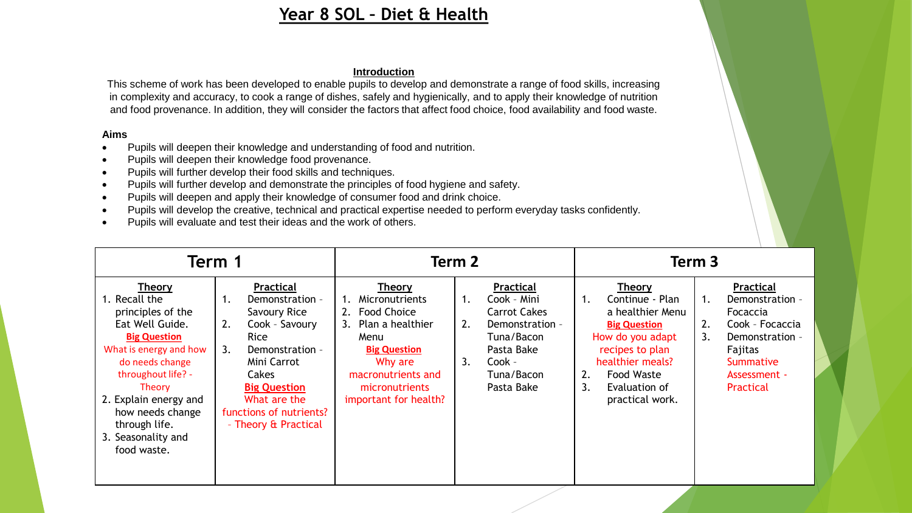# **Year 8 SOL – Diet & Health**

### **Introduction**

This scheme of work has been developed to enable pupils to develop and demonstrate a range of food skills, increasing in complexity and accuracy, to cook a range of dishes, safely and hygienically, and to apply their knowledge of nutrition and food provenance. In addition, they will consider the factors that affect food choice, food availability and food waste.

#### **Aims**

- Pupils will deepen their knowledge and understanding of food and nutrition.
- Pupils will deepen their knowledge food provenance.
- Pupils will further develop their food skills and techniques.
- Pupils will further develop and demonstrate the principles of food hygiene and safety.
- Pupils will deepen and apply their knowledge of consumer food and drink choice.
- Pupils will develop the creative, technical and practical expertise needed to perform everyday tasks confidently.
- Pupils will evaluate and test their ideas and the work of others.

| Term 1                                                                                                                                                                                                                                                                 |                                                                                                                                                                                                                               |                                                                                                                                                                                        | Term 2                                                                                                                                                 | Term <sub>3</sub>                                                                                                                                                                                          |                                                                                                                                                       |  |  |
|------------------------------------------------------------------------------------------------------------------------------------------------------------------------------------------------------------------------------------------------------------------------|-------------------------------------------------------------------------------------------------------------------------------------------------------------------------------------------------------------------------------|----------------------------------------------------------------------------------------------------------------------------------------------------------------------------------------|--------------------------------------------------------------------------------------------------------------------------------------------------------|------------------------------------------------------------------------------------------------------------------------------------------------------------------------------------------------------------|-------------------------------------------------------------------------------------------------------------------------------------------------------|--|--|
| Theory<br>1. Recall the<br>principles of the<br>Eat Well Guide.<br><b>Big Question</b><br>What is energy and how<br>do needs change<br>throughout life? -<br>Theory<br>2. Explain energy and<br>how needs change<br>through life.<br>3. Seasonality and<br>food waste. | Practical<br>Demonstration -<br>1.<br>Savoury Rice<br>2.<br>Cook - Savoury<br>Rice<br>3.<br>Demonstration -<br>Mini Carrot<br>Cakes<br><b>Big Question</b><br>What are the<br>functions of nutrients?<br>- Theory & Practical | Theory<br>Micronutrients<br><b>Food Choice</b><br>2.<br>3. Plan a healthier<br>Menu<br><b>Big Question</b><br>Why are<br>macronutrients and<br>micronutrients<br>important for health? | Practical<br>Cook - Mini<br>1.<br><b>Carrot Cakes</b><br>2.<br>Demonstration -<br>Tuna/Bacon<br>Pasta Bake<br>3.<br>Cook -<br>Tuna/Bacon<br>Pasta Bake | Theory<br>Continue - Plan<br>1.<br>a healthier Menu<br><b>Big Question</b><br>How do you adapt<br>recipes to plan<br>healthier meals?<br><b>Food Waste</b><br>2.<br>Evaluation of<br>3.<br>practical work. | Practical<br>1.<br>Demonstration -<br>Focaccia<br>Cook - Focaccia<br>2.<br>3.<br>Demonstration -<br>Fajitas<br>Summative<br>Assessment -<br>Practical |  |  |